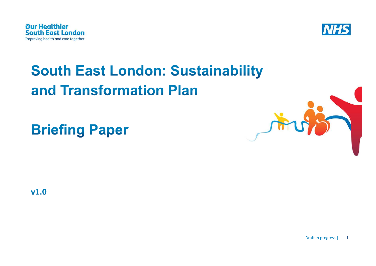



# **South East London: Sustainability** and Transformation Plan

**Briefing Paper** 



 $v1.0$ 

Draft in progress  $| 1$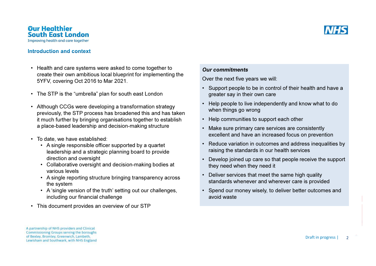

#### Introduction and context

- Health and care systems were asked to come together to create their own ambitious local blueprint for implementing the 5YFV, covering Oct 2016 to Mar 2021.
- The STP is the "umbrella" plan for south east London
- Although CCGs were developing a transformation strategy previously, the STP process has broadened this and has taken it much further by bringing organisations together to establish a place-based leadership and decision-making structure
- To date, we have established:
	- A single responsible officer supported by a quartet leadership and a strategic planning board to provide direction and oversight
	- Collaborative oversight and decision-making bodies at various levels
	- A single reporting structure bringing transparency across the system
	- A 'single version of the truth' setting out our challenges, including our financial challenge
- This document provides an overview of our STP

## Our commitments

Over the next five years we will:

- Support people to be in control of their health and have a greater say in their own care
- Help people to live independently and know what to dowhen things go wrong
- Help communities to support each other
- Make sure primary care services are consistently excellent and have an increased focus on prevention
- Reduce variation in outcomes and address inequalities byraising the standards in our health services
- Develop joined up care so that people receive the support they need when they need it
- Deliver services that meet the same high quality standards whenever and wherever care is provided
- Spend our money wisely, to deliver better outcomes andavoid waste

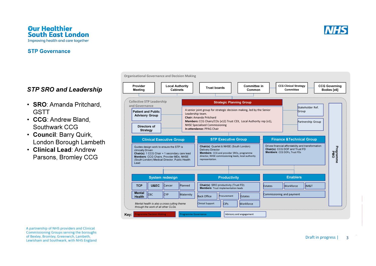

## **STP Governance**

## STP SRO and Leadership

- SRO: Amanda Pritchard, GSTT
- CCG: Andrew Bland, Southwark CCG
- Council: Barry Quirk, London Borough Lambeth
- Clinical Lead: Andrew Parsons, Bromley CCG

Collective STP Leadership and GovernanceCCG Governing Bodies [x6]Stakeholder Ref. Patient and Public **Group A** senior joint group for strategic decision making, led by the Senior **Figger Second** Group Advisory GroupStrategic Planning GroupLeadership team. Chair: Amanda Pritchard Members: CCG Chairs/COs (x12) Trust CEX, Local Authority rep (x1), NHSE Specialised Commissioning In attendance: PPAG ChairTrust boardsPartnership GroupLocal Authority **Cabinets** Committee in CommonCCG Clinical Strategy CommitteeOrganisational Governance and Decision MakingProvider MeetingDirectors of **Strategy** rogramme Decision Making rogramme Governance STP Executive GroupChair(s): Quartet & NHSE (South London) Delivery DirectorMembers: CCG and provider SROs, programme director, NHSE commissioning leads, local authority representation.Clinical Executive GroupGuides design work to ensure the STP is clinically Driven Chair(s): 1 CCG Chair + 1 secondary care lead Members: CCG Chairs, Provider MDs, NHSE (South London) Medical Director, Public Health Lead**Productivity** Chair(s): SRO productivity (Trust FD)Members: Trust implementation leads Finance &Technical GroupDrives financial affordability and transformationChair(s): CCG DOF and Trust FDMembers: CCG DOFs, Trust FDsProgramme Programme<br>PMO **Estates Workforce IM&T** System redesignn **Enablers** Productivity **Container to the Enablers** CBC $\begin{array}{|l|c|c|c|c|}\hline \text{CYP} & \text{Maternity} & \text{Back Office} & \text{Procurrent} & \text{Estates} & \text{Commissioning and payment} \hline \end{array}$ Advisory and engagementBack OfficeProcurement **TCP**  U&EC**Cancer** Planned Clinical Support CIPs**Workforce** Key:**Mental**  HealthMental health is also a cross cutting theme through the work of all other CLGs.

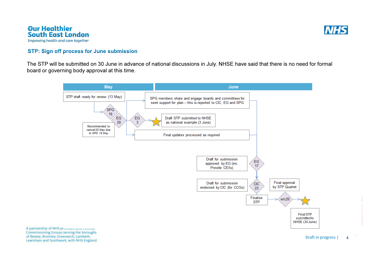



## **STP: Sign off process for June submission**

The STP will be submitted on 30 June in advance of national discussions in July. NHSE have said that there is no need for formalboard or governing body approval at this time.

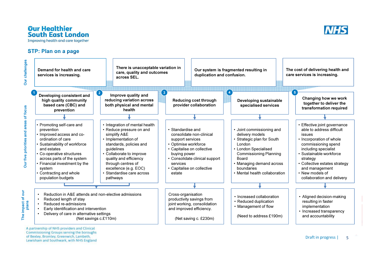

## **STP: Plan on a page**

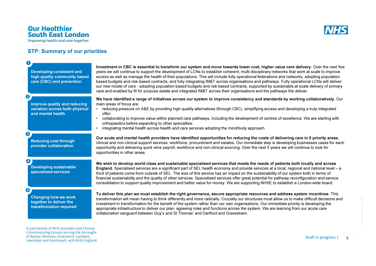## **Our Healthier<br>South East London**

Improving health and care together

## **STP: Summary of our priorities**

| (1<br><b>Developing consistent and</b><br>high quality community based<br>care (CBC) and prevention     | Investment in CBC is essential to transform our system and move towards lower cost, higher value care delivery. Over the next five<br>years we will continue to support the development of LCNs to establish coherent, multi-disciplinary networks that work at scale to improve<br>access as well as manage the health of their populations. This will include fully operational federations and networks; adopting population<br>based budgets and risk-based contracts; and fully integrating IM&T across organisations and pathways. Fully operational LCNs will deliver<br>our new model of care - adopting population based budgets and risk based contracts, supported by sustainable at scale delivery of primary<br>care and enabled by fit for purpose estate and integrated IM&T across their organisations and the pathways the deliver |
|---------------------------------------------------------------------------------------------------------|-----------------------------------------------------------------------------------------------------------------------------------------------------------------------------------------------------------------------------------------------------------------------------------------------------------------------------------------------------------------------------------------------------------------------------------------------------------------------------------------------------------------------------------------------------------------------------------------------------------------------------------------------------------------------------------------------------------------------------------------------------------------------------------------------------------------------------------------------------|
| $\boldsymbol{Q}$<br>Improve quality and reducing<br>variation across both physical<br>and mental health | We have identified a range of initiatives across our system to improve consistency and standards by working collaboratively. Our<br>main areas of focus are:<br>reducing pressure on A&E by providing high-quality alternatives (through CBC), simplifying access and developing a truly integrated<br>offer:<br>collaborating to improve value within planned care pathways, including the development of centres of excellence. We are starting with<br>orthopaedics before expanding to other specialties;<br>integrating mental health across health and care services adopting the mind/body approach                                                                                                                                                                                                                                          |
| ❸<br><b>Reducing cost through</b><br>provider collaboration                                             | Our acute and mental health providers have identified opportunities for reducing the costs of delivering care in 5 priority areas;<br>clinical and non-clinical support services, workforce, procurement and estates. Our immediate step is developing businesses cases for each<br>opportunity and delivering quick wins payroll, workforce and non-clinical sourcing. Over the next 5 years we will continue to look for<br>opportunities in other areas.                                                                                                                                                                                                                                                                                                                                                                                         |
| Ø<br><b>Developing sustainable</b><br>specialised services                                              | We wish to develop world class and sustainable specialised services that meets the needs of patients both locally and across<br>England. Specialised services are a significant part of SEL health economy and provide services at a local, regional and national level - a<br>third of patients come from outside of SEL. The size of this service has an impact on the sustainability of our system both in terms of<br>financial sustainability and the quality of other services. Specialised services offer great potential for pathway reconfiguration and service<br>consolidation to support quality improvement and better value for money. We are supporting NHSE to establish a London-wide board.                                                                                                                                       |
| 6<br><b>Changing how we work</b><br>together to deliver the<br>transformation required                  | To deliver this plan we must establish the right governance, secure appropriate resources and address system incentives. This<br>transformation will mean having to think differently and more radically. Crucially our structures must allow us to make difficult decisions and<br>investment in transformation for the benefit of the system rather than our own organisations. Our immediate priority is developing the<br>appropriate infrastructure to deliver our plan, agreeing roles and functions across the system. We are learning from our acute care<br>collaboration vanguard between Guy's and St Thomas' and Dartford and Gravesham.                                                                                                                                                                                                |
| A partnership of NHS providers and Clinical<br>Commissioning Groups serving the boroughs                |                                                                                                                                                                                                                                                                                                                                                                                                                                                                                                                                                                                                                                                                                                                                                                                                                                                     |

of Bexley, Bromley, Greenwich, Lambeth,<br>Lewisham and Southwark, with NHS England

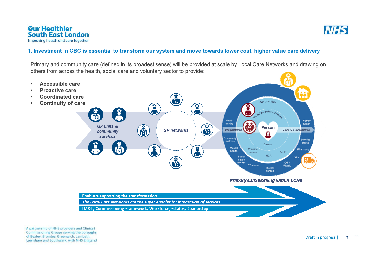•

•

•

•



## 1. Investment in CBC is essential to transform our system and move towards lower cost, higher value care delivery

Primary and community care (defined in its broadest sense) will be provided at scale by Local Care Networks and drawing on others from across the health, social care and voluntary sector to provide:

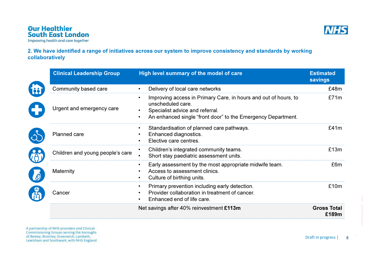

## 2. We have identified a range of initiatives across our system to improve consistency and standards by working collaboratively

|          | <b>Clinical Leadership Group</b> | High level summary of the model of care                                                                                                                                                                           | <b>Estimated</b><br>savings |
|----------|----------------------------------|-------------------------------------------------------------------------------------------------------------------------------------------------------------------------------------------------------------------|-----------------------------|
|          | Community based care             | Delivery of local care networks<br>$\bullet$                                                                                                                                                                      | £48m                        |
|          | Urgent and emergency care        | Improving access in Primary Care, in hours and out of hours, to<br>$\bullet$<br>unscheduled care.<br>Specialist advice and referral.<br>An enhanced single "front door" to the Emergency Department.<br>$\bullet$ | £71m                        |
|          | Planned care                     | Standardisation of planned care pathways.<br>$\bullet$<br>Enhanced diagnostics.<br>Elective care centres.                                                                                                         | £41m                        |
|          | Children and young people's care | Children's integrated community teams.<br>$\bullet$<br>Short stay paediatric assessment units.<br>$\bullet$                                                                                                       | £13m                        |
| <b>B</b> | Maternity                        | Early assessment by the most appropriate midwife team.<br>$\bullet$<br>Access to assessment clinics.<br>Culture of birthing units.<br>$\bullet$                                                                   | £6m                         |
|          | Cancer                           | Primary prevention including early detection.<br>$\bullet$<br>Provider collaboration in treatment of cancer.<br>$\bullet$<br>Enhanced end of life care.<br>$\bullet$                                              | £10m                        |
|          |                                  | Net savings after 40% reinvestment £113m                                                                                                                                                                          | <b>Gross Total</b><br>£189m |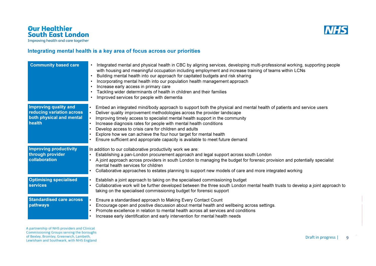

## Integrating mental health is a key area of focus across our priorities

| <b>Community based care</b>                                                                     | • Integrated mental and physical health in CBC by aligning services, developing multi-professional working, supporting people<br>with housing and meaningful occupation including employment and increase training of teams within LCNs<br>Building mental health into our approach for capitated budgets and risk sharing<br>Incorporating mental health into our population health management approach<br>Increase early access in primary care<br>Tackling wider determinants of health in children and their families<br>Improved services for people with dementia |
|-------------------------------------------------------------------------------------------------|-------------------------------------------------------------------------------------------------------------------------------------------------------------------------------------------------------------------------------------------------------------------------------------------------------------------------------------------------------------------------------------------------------------------------------------------------------------------------------------------------------------------------------------------------------------------------|
| <b>Improving quality and</b><br>reducing variation across<br>both physical and mental<br>health | Embed an integrated mind/body approach to support both the physical and mental health of patients and service users<br>Deliver quality improvement methodologies across the provider landscape<br>Improving timely access to specialist mental health support in the community<br>Increase diagnosis rates for people with mental health conditions<br>Develop access to crisis care for children and adults<br>Explore how we can achieve the four hour target for mental health<br>Ensure sufficient and appropriate capacity is available to meet future demand      |
| <b>Improving productivity</b><br>through provider<br>collaboration                              | In addition to our collaborative productivity work we are:<br>Establishing a pan-London procurement approach and legal support across south London<br>A joint approach across providers in south London to managing the budget for forensic provision and potentially specialist<br>mental health services for children<br>Collaborative approaches to estates planning to support new models of care and more integrated working                                                                                                                                       |
| <b>Optimising specialised</b><br><b>services</b>                                                | Establish a joint approach to taking on the specialised commissioning budget<br>Collaborative work will be further developed between the three south London mental health trusts to develop a joint approach to<br>taking on the specialised commissioning budget for forensic support                                                                                                                                                                                                                                                                                  |
| <b>Standardised care across</b><br>pathways                                                     | Ensure a standardised approach to Making Every Contact Count<br>Encourage open and positive discussion about mental health and wellbeing across settings.<br>Promote excellence in relation to mental health across all services and conditions<br>Increase early identification and early intervention for mental health needs                                                                                                                                                                                                                                         |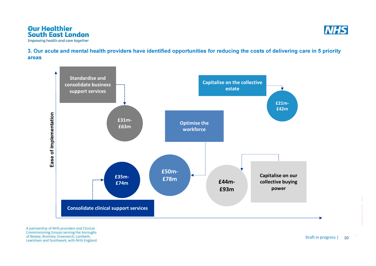



3. Our acute and mental health providers have identified opportunities for reducing the costs of delivering care in 5 priority areas

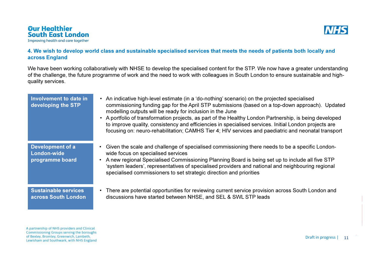

## 4. We wish to develop world class and sustainable specialised services that meets the needs of patients both locally and across England

We have been working collaboratively with NHSE to develop the specialised content for the STP. We now have a greater understanding of the challenge, the future programme of work and the need to work with colleagues in South London to ensure sustainable and highquality services.

| Involvement to date in<br>developing the STP       | An indicative high-level estimate (in a 'do-nothing' scenario) on the projected specialised<br>$\bullet$<br>commissioning funding gap for the April STP submissions (based on a top-down approach). Updated<br>modelling outputs will be ready for inclusion in the June<br>A portfolio of transformation projects, as part of the Healthy London Partnership, is being developed<br>to improve quality, consistency and efficiencies in specialised services. Initial London projects are<br>focusing on: neuro-rehabilitation; CAMHS Tier 4; HIV services and paediatric and neonatal transport |
|----------------------------------------------------|---------------------------------------------------------------------------------------------------------------------------------------------------------------------------------------------------------------------------------------------------------------------------------------------------------------------------------------------------------------------------------------------------------------------------------------------------------------------------------------------------------------------------------------------------------------------------------------------------|
| Development of a<br>London-wide<br>programme board | Given the scale and challenge of specialised commissioning there needs to be a specific London-<br>wide focus on specialised services<br>A new regional Specialised Commissioning Planning Board is being set up to include all five STP<br>'system leaders', representatives of specialised providers and national and neighbouring regional<br>specialised commissioners to set strategic direction and priorities                                                                                                                                                                              |
| <b>Sustainable services</b><br>across South London | There are potential opportunities for reviewing current service provision across South London and<br>discussions have started between NHSE, and SEL & SWL STP leads                                                                                                                                                                                                                                                                                                                                                                                                                               |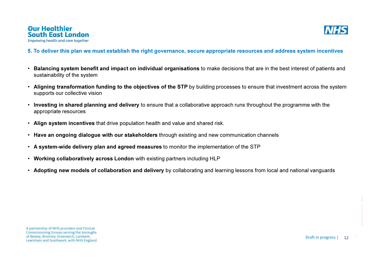

## 5. To deliver this plan we must establish the right governance, secure appropriate resources and address system incentives

- • Balancing system benefit and impact on individual organisations to make decisions that are in the best interest of patients and sustainability of the system
- •Aligning transformation funding to the objectives of the STP by building processes to ensure that investment across the system supports our collective vision
- Investing in shared planning and delivery to ensure that a collaborative approach runs throughout the programme with the appropriate resources
- Align system incentives that drive population health and value and shared risk.
- $\bm{\cdot}\;$  Have an ongoing dialogue with our stakeholders through existing and new communication channels
- $\,$  A system-wide delivery plan and agreed measures to monitor the implementation of the STP  $\,$
- $\bm{\cdot}\;$  Working collaboratively across London with existing partners including <code>HLP</code>
- Adopting new models of collaboration and delivery by collaborating and learning lessons from local and national vanguards